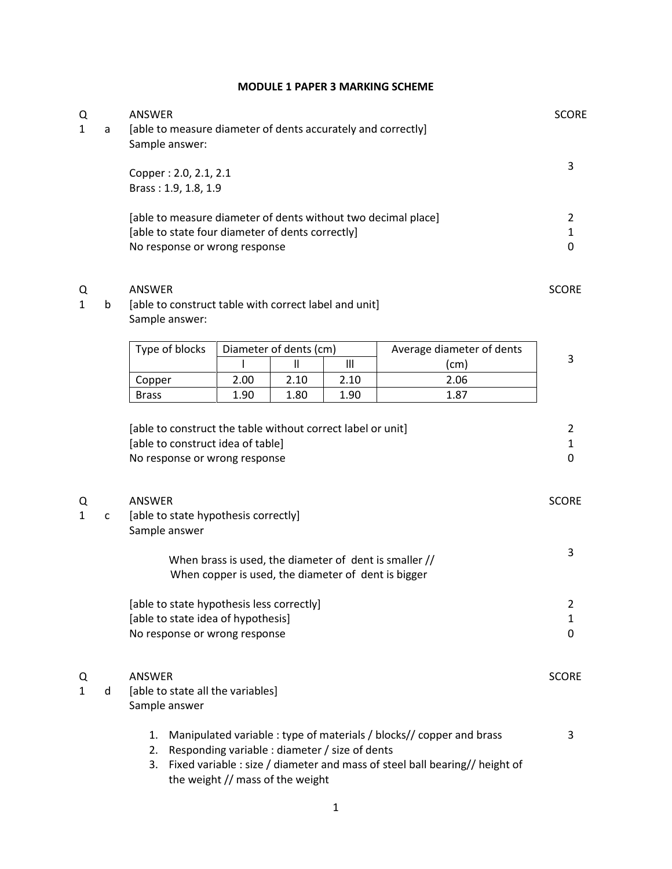## **MODULE 1 PAPER 3 MARKING SCHEME**

| Q<br>1 | a | ANSWER<br>[able to measure diameter of dents accurately and correctly]<br>Sample answer:                                          |      |                                                                                    |                |                                                                                                                                                     | <b>SCORE</b>   |
|--------|---|-----------------------------------------------------------------------------------------------------------------------------------|------|------------------------------------------------------------------------------------|----------------|-----------------------------------------------------------------------------------------------------------------------------------------------------|----------------|
|        |   | Copper: 2.0, 2.1, 2.1<br>Brass: 1.9, 1.8, 1.9                                                                                     |      |                                                                                    |                |                                                                                                                                                     | 3              |
|        |   | [able to measure diameter of dents without two decimal place]                                                                     |      |                                                                                    |                |                                                                                                                                                     | 2              |
|        |   | [able to state four diameter of dents correctly]                                                                                  |      |                                                                                    |                |                                                                                                                                                     | 1<br>$\Omega$  |
|        |   | No response or wrong response                                                                                                     |      |                                                                                    |                |                                                                                                                                                     |                |
| Q<br>1 | b | ANSWER<br>[able to construct table with correct label and unit]<br>Sample answer:                                                 |      |                                                                                    |                |                                                                                                                                                     | <b>SCORE</b>   |
|        |   | Type of blocks                                                                                                                    |      | Diameter of dents (cm)                                                             |                |                                                                                                                                                     |                |
|        |   |                                                                                                                                   |      | $\mathbf{  }$                                                                      | $\mathbf{III}$ | Average diameter of dents<br>(cm)                                                                                                                   | 3              |
|        |   | Copper                                                                                                                            | 2.00 | 2.10                                                                               | 2.10           | 2.06                                                                                                                                                |                |
|        |   | <b>Brass</b>                                                                                                                      | 1.90 | 1.80                                                                               | 1.90           | 1.87                                                                                                                                                |                |
|        |   | [able to construct the table without correct label or unit]<br>[able to construct idea of table]<br>No response or wrong response |      |                                                                                    |                |                                                                                                                                                     | 2<br>1<br>0    |
| Q<br>1 | C | ANSWER<br>[able to state hypothesis correctly]<br>Sample answer                                                                   |      |                                                                                    |                |                                                                                                                                                     | <b>SCORE</b>   |
|        |   |                                                                                                                                   |      | When copper is used, the diameter of dent is bigger                                |                | When brass is used, the diameter of dent is smaller //                                                                                              | 3              |
|        |   | [able to state hypothesis less correctly]                                                                                         |      |                                                                                    |                |                                                                                                                                                     | $\overline{2}$ |
|        |   | [able to state idea of hypothesis]                                                                                                |      |                                                                                    |                |                                                                                                                                                     | $\mathbf{1}$   |
|        |   | No response or wrong response                                                                                                     |      |                                                                                    |                |                                                                                                                                                     | $\Omega$       |
| Q<br>1 | d | ANSWER<br>[able to state all the variables]<br>Sample answer                                                                      |      |                                                                                    |                |                                                                                                                                                     | <b>SCORE</b>   |
|        |   | 1.<br>2.<br>3.                                                                                                                    |      | Responding variable : diameter / size of dents<br>the weight // mass of the weight |                | Manipulated variable : type of materials / blocks// copper and brass<br>Fixed variable : size / diameter and mass of steel ball bearing// height of | 3              |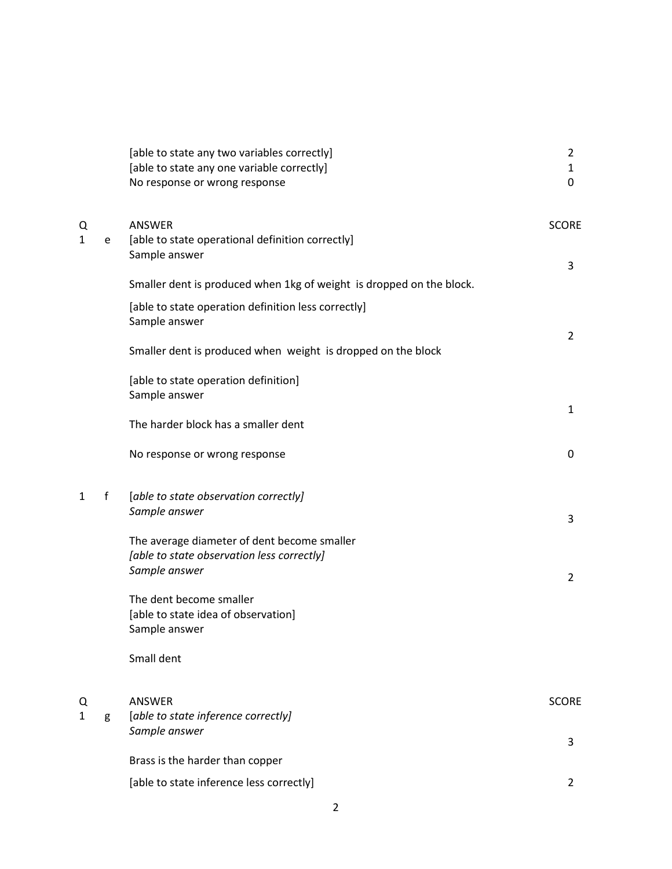|              |             | [able to state any two variables correctly]<br>[able to state any one variable correctly]<br>No response or wrong response | 2<br>1<br>0       |
|--------------|-------------|----------------------------------------------------------------------------------------------------------------------------|-------------------|
| Q<br>1       | e           | ANSWER<br>[able to state operational definition correctly]<br>Sample answer                                                | <b>SCORE</b>      |
|              |             | Smaller dent is produced when 1kg of weight is dropped on the block.                                                       | 3                 |
|              |             | [able to state operation definition less correctly]<br>Sample answer                                                       |                   |
|              |             | Smaller dent is produced when weight is dropped on the block                                                               | $\overline{2}$    |
|              |             | [able to state operation definition]<br>Sample answer                                                                      |                   |
|              |             | The harder block has a smaller dent                                                                                        | 1                 |
|              |             | No response or wrong response                                                                                              | 0                 |
| $\mathbf{1}$ | $\mathbf f$ | [able to state observation correctly]<br>Sample answer                                                                     | 3                 |
|              |             | The average diameter of dent become smaller<br>[able to state observation less correctly]<br>Sample answer                 |                   |
|              |             | The dent become smaller<br>[able to state idea of observation]<br>Sample answer                                            | $\overline{2}$    |
|              |             | Small dent                                                                                                                 |                   |
| Q<br>1       | g           | <b>ANSWER</b><br>[able to state inference correctly]<br>Sample answer                                                      | <b>SCORE</b><br>3 |
|              |             | Brass is the harder than copper                                                                                            |                   |
|              |             | [able to state inference less correctly]                                                                                   | 2                 |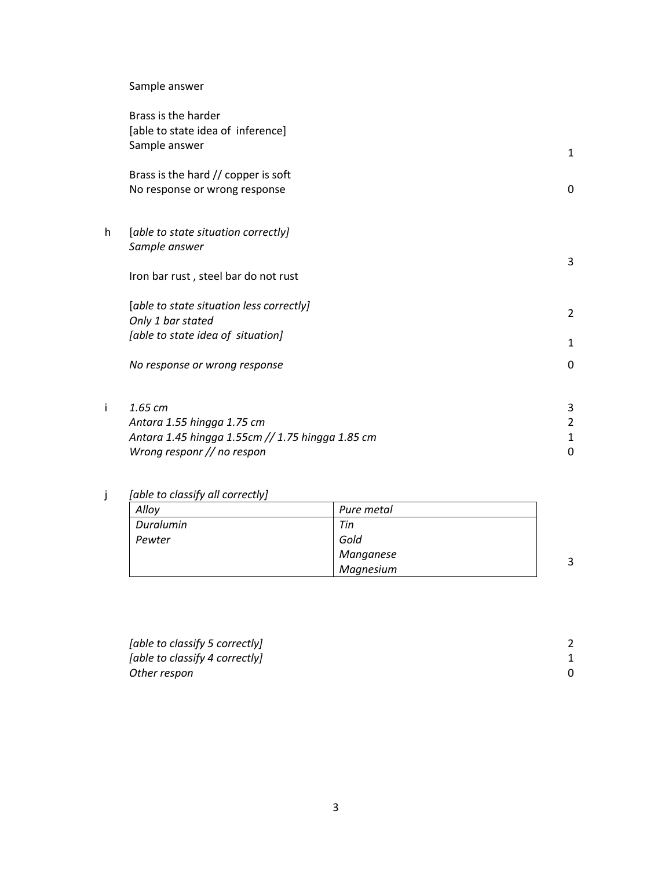## Sample answer

|   | Brass is the harder<br>[able to state idea of inference]<br>Sample answer |                |
|---|---------------------------------------------------------------------------|----------------|
|   |                                                                           | 1              |
|   | Brass is the hard // copper is soft                                       |                |
|   | No response or wrong response                                             | $\Omega$       |
| h | [able to state situation correctly]                                       |                |
|   | Sample answer                                                             | 3              |
|   | Iron bar rust, steel bar do not rust                                      |                |
|   | [able to state situation less correctly]                                  | $\overline{2}$ |
|   | Only 1 bar stated                                                         |                |
|   | [able to state idea of situation]                                         | 1              |
|   | No response or wrong response                                             | $\Omega$       |
| i | 1.65 cm                                                                   | 3              |
|   | Antara 1.55 hingga 1.75 cm                                                | 2              |
|   | Antara 1.45 hingga 1.55cm // 1.75 hingga 1.85 cm                          | 1              |
|   | Wrong responr // no respon                                                | 0              |

j *[able to classify all correctly]*

| Alloy     | Pure metal |   |
|-----------|------------|---|
| Duralumin | Tin        |   |
| Pewter    | Gold       |   |
|           | Manganese  |   |
|           | Magnesium  | 3 |

*[able to classify 5 correctly]* 2 *z* (*able to classify 4 correctly*) 1<br> *Other respon Other respon*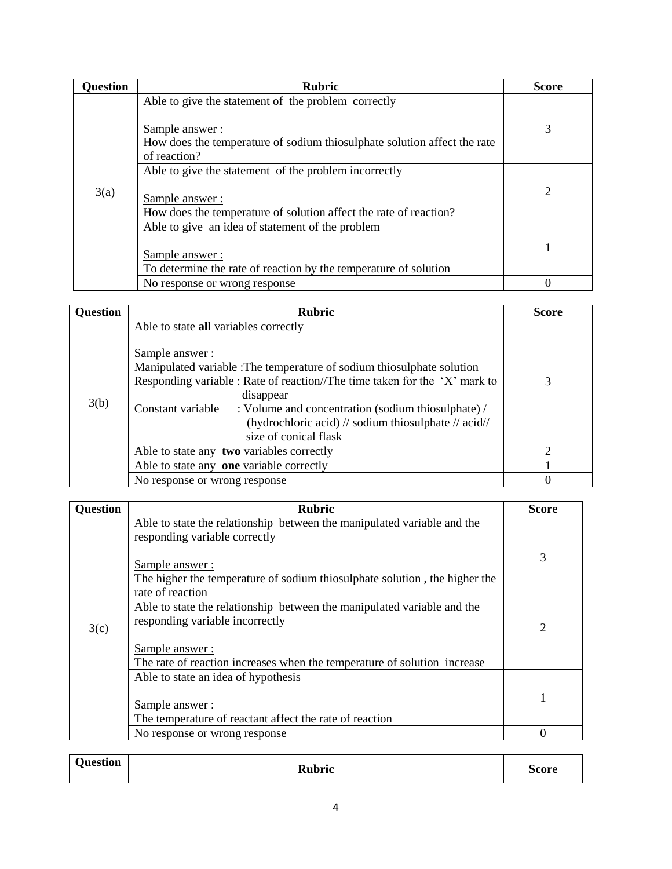| <b>Question</b> | <b>Rubric</b>                                                                                                                                                     | <b>Score</b> |
|-----------------|-------------------------------------------------------------------------------------------------------------------------------------------------------------------|--------------|
|                 | Able to give the statement of the problem correctly<br>Sample answer:<br>How does the temperature of sodium thiosulphate solution affect the rate<br>of reaction? | 3            |
| 3(a)            | Able to give the statement of the problem incorrectly<br>Sample answer:<br>How does the temperature of solution affect the rate of reaction?                      | 2            |
|                 | Able to give an idea of statement of the problem<br>Sample answer:<br>To determine the rate of reaction by the temperature of solution                            |              |
|                 | No response or wrong response                                                                                                                                     |              |

| <b>Question</b> | Rubric                                                                                                                                                                                                                                                                                                                                                                                   | <b>Score</b>                |
|-----------------|------------------------------------------------------------------------------------------------------------------------------------------------------------------------------------------------------------------------------------------------------------------------------------------------------------------------------------------------------------------------------------------|-----------------------------|
| 3(b)            | Able to state all variables correctly<br>Sample answer:<br>Manipulated variable : The temperature of sodium thiosulphate solution<br>Responding variable : Rate of reaction//The time taken for the 'X' mark to<br>disappear<br>: Volume and concentration (sodium thiosulphate) /<br>Constant variable<br>(hydrochloric acid) // sodium thiosulphate // acid//<br>size of conical flask | 3                           |
|                 | Able to state any two variables correctly                                                                                                                                                                                                                                                                                                                                                | $\mathcal{D}_{\mathcal{L}}$ |
|                 | Able to state any one variable correctly                                                                                                                                                                                                                                                                                                                                                 |                             |
|                 | No response or wrong response                                                                                                                                                                                                                                                                                                                                                            | $\theta$                    |

| <b>Question</b> | <b>Rubric</b>                                                                                                              | <b>Score</b>   |
|-----------------|----------------------------------------------------------------------------------------------------------------------------|----------------|
|                 | Able to state the relationship between the manipulated variable and the<br>responding variable correctly<br>Sample answer: | 3              |
|                 | The higher the temperature of sodium thiosulphate solution, the higher the<br>rate of reaction                             |                |
| 3(c)            | Able to state the relationship between the manipulated variable and the<br>responding variable incorrectly                 | $\overline{2}$ |
|                 | Sample answer:<br>The rate of reaction increases when the temperature of solution increase                                 |                |
|                 | Able to state an idea of hypothesis                                                                                        |                |
|                 | Sample answer:                                                                                                             |                |
|                 | The temperature of reactant affect the rate of reaction                                                                    |                |
|                 | No response or wrong response                                                                                              | 0              |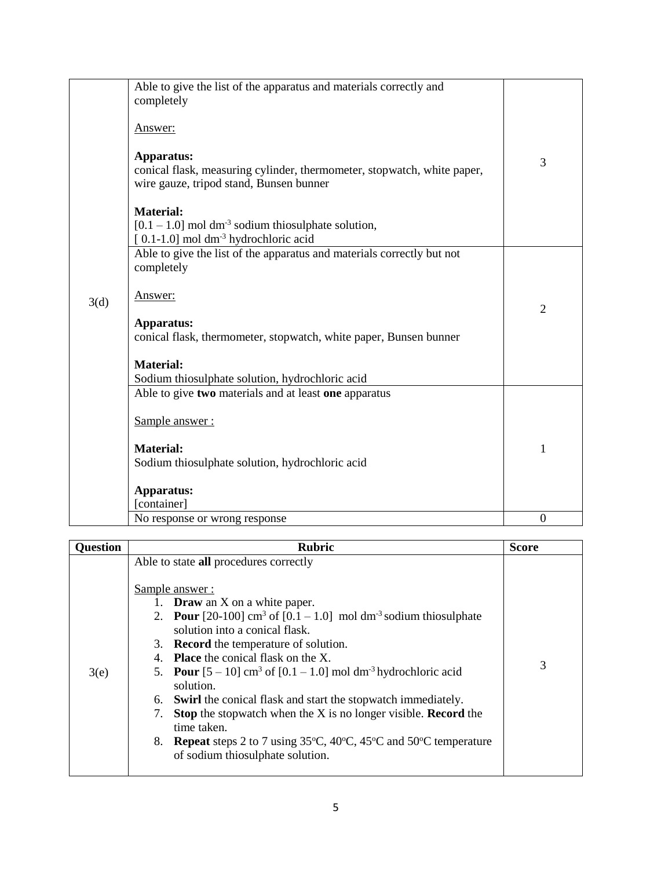|      | Able to give the list of the apparatus and materials correctly and<br>completely<br>Answer:<br>Apparatus:<br>conical flask, measuring cylinder, thermometer, stopwatch, white paper,<br>wire gauze, tripod stand, Bunsen bunner<br><b>Material:</b><br>$[0.1 - 1.0]$ mol dm <sup>-3</sup> sodium thiosulphate solution, | 3              |
|------|-------------------------------------------------------------------------------------------------------------------------------------------------------------------------------------------------------------------------------------------------------------------------------------------------------------------------|----------------|
| 3(d) | [0.1-1.0] mol dm <sup>-3</sup> hydrochloric acid<br>Able to give the list of the apparatus and materials correctly but not<br>completely<br>Answer:<br>Apparatus:<br>conical flask, thermometer, stopwatch, white paper, Bunsen bunner<br><b>Material:</b><br>Sodium thiosulphate solution, hydrochloric acid           | $\overline{2}$ |
|      | Able to give two materials and at least one apparatus<br>Sample answer:<br><b>Material:</b><br>Sodium thiosulphate solution, hydrochloric acid<br>Apparatus:<br>[container]                                                                                                                                             | 1              |
|      | No response or wrong response                                                                                                                                                                                                                                                                                           | $\overline{0}$ |

| <b>Question</b> | <b>Rubric</b>                                                                                                                                  | <b>Score</b> |
|-----------------|------------------------------------------------------------------------------------------------------------------------------------------------|--------------|
|                 | Able to state all procedures correctly                                                                                                         |              |
|                 |                                                                                                                                                |              |
|                 | Sample answer:                                                                                                                                 |              |
|                 | 1. <b>Draw</b> an $X$ on a white paper.                                                                                                        |              |
|                 | 2. <b>Pour</b> [20-100] cm <sup>3</sup> of $[0.1 - 1.0]$ mol dm <sup>-3</sup> sodium thiosulphate                                              |              |
|                 | solution into a conical flask.                                                                                                                 |              |
|                 | 3. <b>Record</b> the temperature of solution.                                                                                                  |              |
|                 | 4. Place the conical flask on the X.                                                                                                           | 3            |
| 3(e)            | 5. <b>Pour</b> $[5 - 10]$ cm <sup>3</sup> of $[0.1 - 1.0]$ mol dm <sup>-3</sup> hydrochloric acid<br>solution.                                 |              |
|                 |                                                                                                                                                |              |
|                 | <b>Swirl</b> the conical flask and start the stopwatch immediately.<br>6.                                                                      |              |
|                 | <b>Stop</b> the stopwatch when the X is no longer visible. <b>Record</b> the<br>7.<br>time taken.                                              |              |
|                 | 8. Repeat steps 2 to 7 using $35^{\circ}$ C, $40^{\circ}$ C, $45^{\circ}$ C and $50^{\circ}$ C temperature<br>of sodium thiosulphate solution. |              |
|                 |                                                                                                                                                |              |